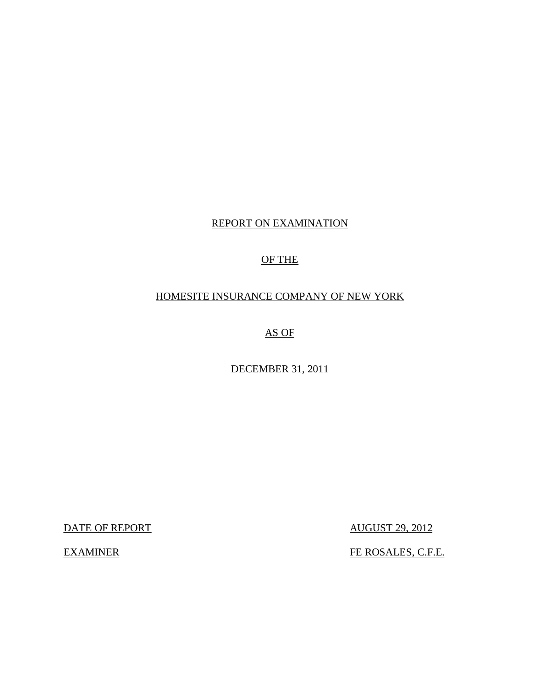## REPORT ON EXAMINATION

## OF THE

## HOMESITE INSURANCE COMPANY OF NEW YORK

AS OF

DECEMBER 31, 2011

DATE OF REPORT AUGUST 29, 2012

EXAMINER FE ROSALES, C.F.E.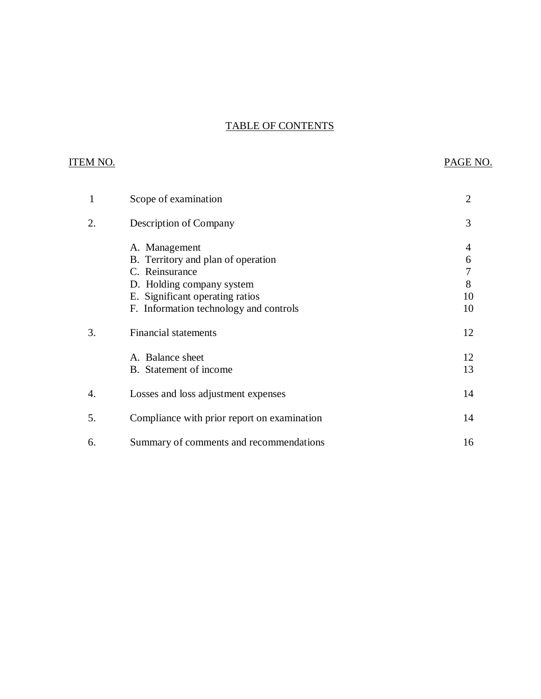## TABLE OF CONTENTS

## ITEM NO. PAGE NO.

| $\mathbf{1}$ | Scope of examination                        | 2  |
|--------------|---------------------------------------------|----|
| 2.           | Description of Company                      | 3  |
|              | A. Management                               | 4  |
|              | B. Territory and plan of operation          | 6  |
|              | C. Reinsurance                              | 7  |
|              | D. Holding company system                   | 8  |
|              | E. Significant operating ratios             | 10 |
|              | F. Information technology and controls      | 10 |
| 3.           | <b>Financial statements</b>                 | 12 |
|              | A. Balance sheet                            | 12 |
|              | B. Statement of income                      | 13 |
| 4.           | Losses and loss adjustment expenses         | 14 |
| 5.           | Compliance with prior report on examination | 14 |
| 6.           | Summary of comments and recommendations     | 16 |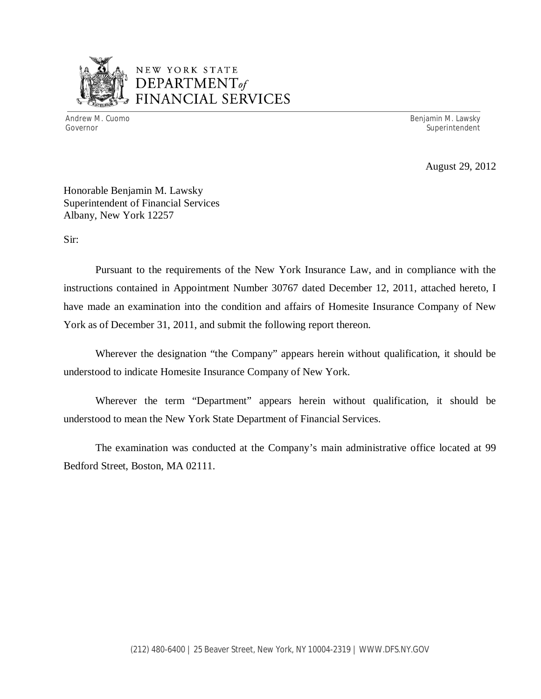

## NEW YORK STATE *DEPARTMENTof*  FINANCIAL SERVICES

Andrew M. Cuomo **Benjamin M. Lawsky** Governor Superintendent Superintendent Superintendent Superintendent Superintendent Superintendent Superintendent

August 29, 2012

Honorable Benjamin M. Lawsky Superintendent of Financial Services Albany, New York 12257

Sir:

Pursuant to the requirements of the New York Insurance Law, and in compliance with the instructions contained in Appointment Number 30767 dated December 12, 2011, attached hereto, I have made an examination into the condition and affairs of Homesite Insurance Company of New York as of December 31, 2011, and submit the following report thereon.

Wherever the designation "the Company" appears herein without qualification, it should be understood to indicate Homesite Insurance Company of New York.

Wherever the term "Department" appears herein without qualification, it should be understood to mean the New York State Department of Financial Services.

The examination was conducted at the Company's main administrative office located at 99 Bedford Street, Boston, MA 02111.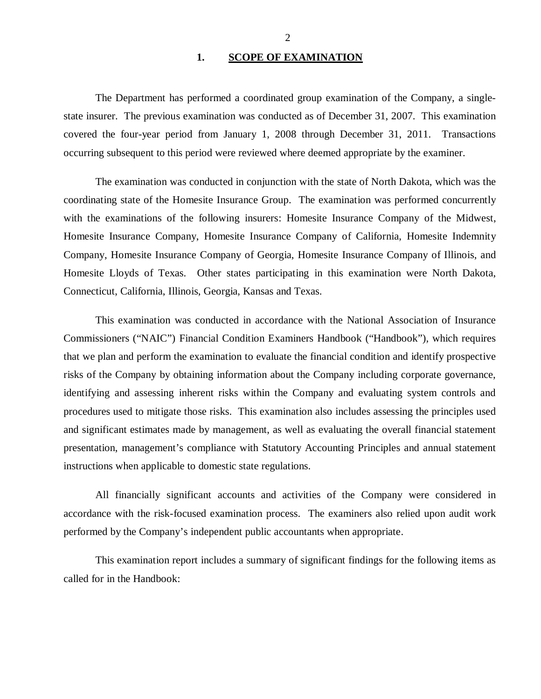#### **1. SCOPE OF EXAMINATION**

<span id="page-3-0"></span>The Department has performed a coordinated group examination of the Company, a singlestate insurer. The previous examination was conducted as of December 31, 2007. This examination covered the four-year period from January 1, 2008 through December 31, 2011. Transactions occurring subsequent to this period were reviewed where deemed appropriate by the examiner.

The examination was conducted in conjunction with the state of North Dakota, which was the coordinating state of the Homesite Insurance Group. The examination was performed concurrently with the examinations of the following insurers: Homesite Insurance Company of the Midwest, Homesite Insurance Company, Homesite Insurance Company of California, Homesite Indemnity Company, Homesite Insurance Company of Georgia, Homesite Insurance Company of Illinois, and Homesite Lloyds of Texas. Other states participating in this examination were North Dakota, Connecticut, California, Illinois, Georgia, Kansas and Texas.

This examination was conducted in accordance with the National Association of Insurance Commissioners ("NAIC") Financial Condition Examiners Handbook ("Handbook"), which requires that we plan and perform the examination to evaluate the financial condition and identify prospective risks of the Company by obtaining information about the Company including corporate governance, identifying and assessing inherent risks within the Company and evaluating system controls and procedures used to mitigate those risks. This examination also includes assessing the principles used and significant estimates made by management, as well as evaluating the overall financial statement presentation, management's compliance with Statutory Accounting Principles and annual statement instructions when applicable to domestic state regulations.

All financially significant accounts and activities of the Company were considered in accordance with the risk-focused examination process. The examiners also relied upon audit work performed by the Company's independent public accountants when appropriate.

This examination report includes a summary of significant findings for the following items as called for in the Handbook: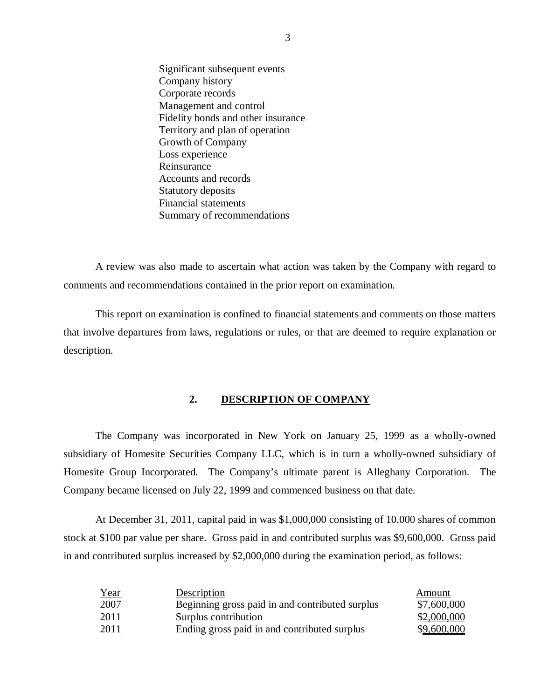Significant subsequent events Company history Corporate records Management and control Fidelity bonds and other insurance Territory and plan of operation Growth of Company Loss experience Reinsurance Accounts and records Statutory deposits Financial statements Summary of recommendations

A review was also made to ascertain what action was taken by the Company with regard to comments and recommendations contained in the prior report on examination.

This report on examination is confined to financial statements and comments on those matters that involve departures from laws, regulations or rules, or that are deemed to require explanation or description.

#### **2. DESCRIPTION OF COMPANY**

The Company was incorporated in New York on January 25, 1999 as a wholly-owned subsidiary of Homesite Securities Company LLC, which is in turn a wholly-owned subsidiary of Homesite Group Incorporated. The Company's ultimate parent is Alleghany Corporation. The Company became licensed on July 22, 1999 and commenced business on that date.

At December 31, 2011, capital paid in was \$1,000,000 consisting of 10,000 shares of common stock at \$100 par value per share. Gross paid in and contributed surplus was \$9,600,000. Gross paid in and contributed surplus increased by \$2,000,000 during the examination period, as follows:

| Year | Description                                     | Amount      |
|------|-------------------------------------------------|-------------|
| 2007 | Beginning gross paid in and contributed surplus | \$7,600,000 |
| 2011 | Surplus contribution                            | \$2,000,000 |
| 2011 | Ending gross paid in and contributed surplus    | \$9,600,000 |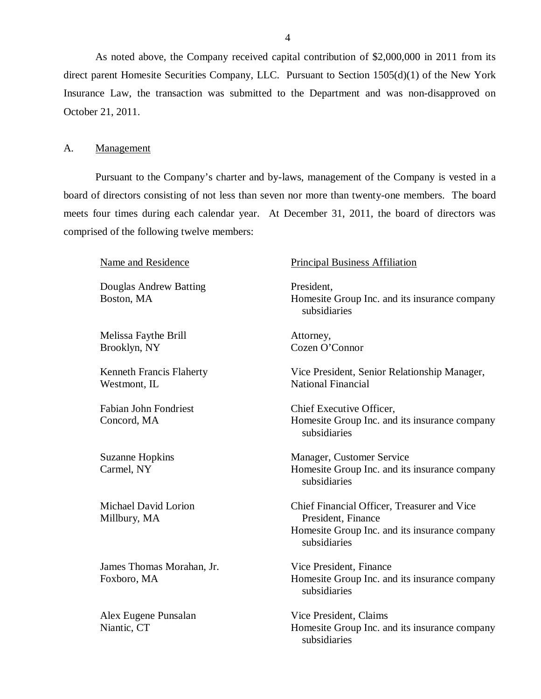As noted above, the Company received capital contribution of \$2,000,000 in 2011 from its direct parent Homesite Securities Company, LLC. Pursuant to Section 1505(d)(1) of the New York Insurance Law, the transaction was submitted to the Department and was non-disapproved on October 21, 2011.

#### A. Management

Pursuant to the Company's charter and by-laws, management of the Company is vested in a board of directors consisting of not less than seven nor more than twenty-one members. The board meets four times during each calendar year. At December 31, 2011, the board of directors was comprised of the following twelve members:

Douglas Andrew Batting Boston, MA

Melissa Faythe Brill Brooklyn, NY

Kenneth Francis Flaherty Westmont, IL

Fabian John Fondriest Concord, MA

Suzanne Hopkins Carmel, NY

Michael David Lorion Millbury, MA

James Thomas Morahan, Jr. Foxboro, MA

Alex Eugene Punsalan Niantic, CT

#### Name and Residence Principal Business Affiliation

President, Homesite Group Inc. and its insurance company subsidiaries

Attorney, Cozen O'Connor

Vice President, Senior Relationship Manager, National Financial

Chief Executive Officer, Homesite Group Inc. and its insurance company subsidiaries

Manager, Customer Service Homesite Group Inc. and its insurance company subsidiaries

Chief Financial Officer, Treasurer and Vice President, Finance Homesite Group Inc. and its insurance company subsidiaries

Vice President, Finance Homesite Group Inc. and its insurance company subsidiaries

Vice President, Claims Homesite Group Inc. and its insurance company subsidiaries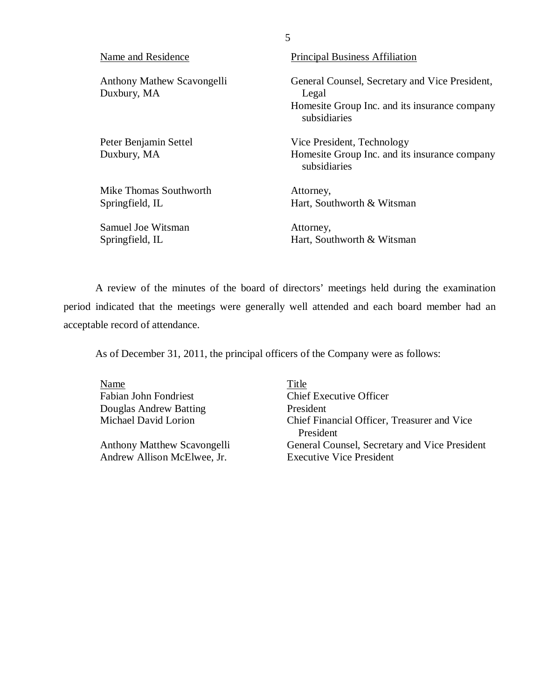| Name and Residence                        | <b>Principal Business Affiliation</b>                                                                                    |
|-------------------------------------------|--------------------------------------------------------------------------------------------------------------------------|
| Anthony Mathew Scavongelli<br>Duxbury, MA | General Counsel, Secretary and Vice President,<br>Legal<br>Homesite Group Inc. and its insurance company<br>subsidiaries |
| Peter Benjamin Settel<br>Duxbury, MA      | Vice President, Technology<br>Homesite Group Inc. and its insurance company<br>subsidiaries                              |
| Mike Thomas Southworth<br>Springfield, IL | Attorney,<br>Hart, Southworth & Witsman                                                                                  |
| Samuel Joe Witsman<br>Springfield, IL     | Attorney,<br>Hart, Southworth & Witsman                                                                                  |

5

A review of the minutes of the board of directors' meetings held during the examination period indicated that the meetings were generally well attended and each board member had an acceptable record of attendance.

As of December 31, 2011, the principal officers of the Company were as follows:

Name Title Fabian John Fondriest Chief Executive Officer Douglas Andrew Batting President

Andrew Allison McElwee, Jr.

Michael David Lorion Chief Financial Officer, Treasurer and Vice President Anthony Matthew Scavongelli General Counsel, Secretary and Vice President<br>Andrew Allison McElwee, Jr.<br>Executive Vice President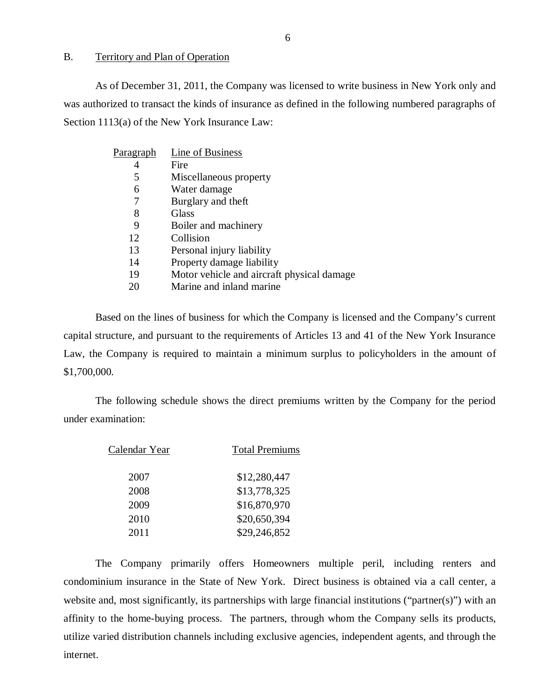#### <span id="page-7-0"></span>B. Territory and Plan of Operation

As of December 31, 2011, the Company was licensed to write business in New York only and was authorized to transact the kinds of insurance as defined in the following numbered paragraphs of Section 1113(a) of the New York Insurance Law:

| Line of Business                           |
|--------------------------------------------|
| Fire                                       |
| Miscellaneous property                     |
| Water damage                               |
| Burglary and theft                         |
| Glass                                      |
| Boiler and machinery                       |
| Collision                                  |
| Personal injury liability                  |
| Property damage liability                  |
| Motor vehicle and aircraft physical damage |
| Marine and inland marine                   |
|                                            |

Based on the lines of business for which the Company is licensed and the Company's current capital structure, and pursuant to the requirements of Articles 13 and 41 of the New York Insurance Law, the Company is required to maintain a minimum surplus to policyholders in the amount of \$1,700,000.

The following schedule shows the direct premiums written by the Company for the period under examination:

| Calendar Year | <b>Total Premiums</b> |
|---------------|-----------------------|
| 2007          | \$12,280,447          |
| 2008          | \$13,778,325          |
| 2009          | \$16,870,970          |
| 2010          | \$20,650,394          |
| 2011          | \$29,246,852          |

The Company primarily offers Homeowners multiple peril, including renters and condominium insurance in the State of New York. Direct business is obtained via a call center, a website and, most significantly, its partnerships with large financial institutions ("partner(s)") with an affinity to the home-buying process. The partners, through whom the Company sells its products, utilize varied distribution channels including exclusive agencies, independent agents, and through the internet.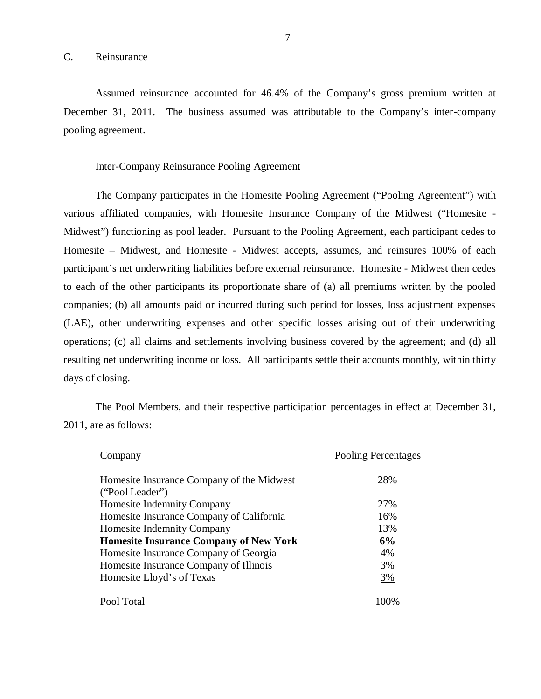<span id="page-8-0"></span>Assumed reinsurance accounted for 46.4% of the Company's gross premium written at December 31, 2011. The business assumed was attributable to the Company's inter-company pooling agreement.

#### Inter-Company Reinsurance Pooling Agreement

The Company participates in the Homesite Pooling Agreement ("Pooling Agreement") with various affiliated companies, with Homesite Insurance Company of the Midwest ("Homesite - Midwest") functioning as pool leader. Pursuant to the Pooling Agreement, each participant cedes to Homesite – Midwest, and Homesite - Midwest accepts, assumes, and reinsures 100% of each participant's net underwriting liabilities before external reinsurance. Homesite - Midwest then cedes to each of the other participants its proportionate share of (a) all premiums written by the pooled companies; (b) all amounts paid or incurred during such period for losses, loss adjustment expenses (LAE), other underwriting expenses and other specific losses arising out of their underwriting operations; (c) all claims and settlements involving business covered by the agreement; and (d) all resulting net underwriting income or loss. All participants settle their accounts monthly, within thirty days of closing.

The Pool Members, and their respective participation percentages in effect at December 31, 2011, are as follows:

| `ompanv                                       | <b>Pooling Percentages</b> |
|-----------------------------------------------|----------------------------|
| Homesite Insurance Company of the Midwest     | 28%                        |
| ("Pool Leader")                               |                            |
| Homesite Indemnity Company                    | 27%                        |
| Homesite Insurance Company of California      | 16%                        |
| Homesite Indemnity Company                    | 13%                        |
| <b>Homesite Insurance Company of New York</b> | 6%                         |
| Homesite Insurance Company of Georgia         | 4%                         |
| Homesite Insurance Company of Illinois        | 3%                         |
| Homesite Lloyd's of Texas                     | 3%                         |
|                                               |                            |
| Pool Total                                    |                            |
|                                               |                            |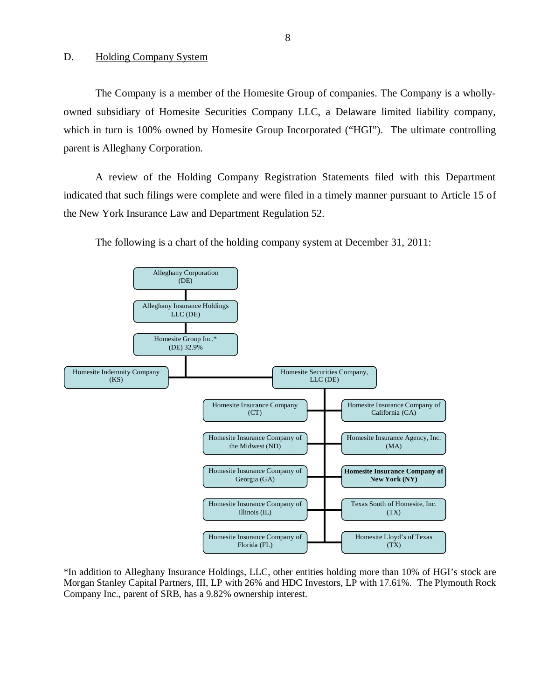<span id="page-9-0"></span>The Company is a member of the Homesite Group of companies. The Company is a whollyowned subsidiary of Homesite Securities Company LLC, a Delaware limited liability company, which in turn is 100% owned by Homesite Group Incorporated ("HGI"). The ultimate controlling parent is Alleghany Corporation.

A review of the Holding Company Registration Statements filed with this Department indicated that such filings were complete and were filed in a timely manner pursuant to Article 15 of the New York Insurance Law and Department Regulation 52.

The following is a chart of the holding company system at December 31, 2011:



\*In addition to Alleghany Insurance Holdings, LLC, other entities holding more than 10% of HGI's stock are Morgan Stanley Capital Partners, III, LP with 26% and HDC Investors, LP with 17.61%. The Plymouth Rock Company Inc., parent of SRB, has a 9.82% ownership interest.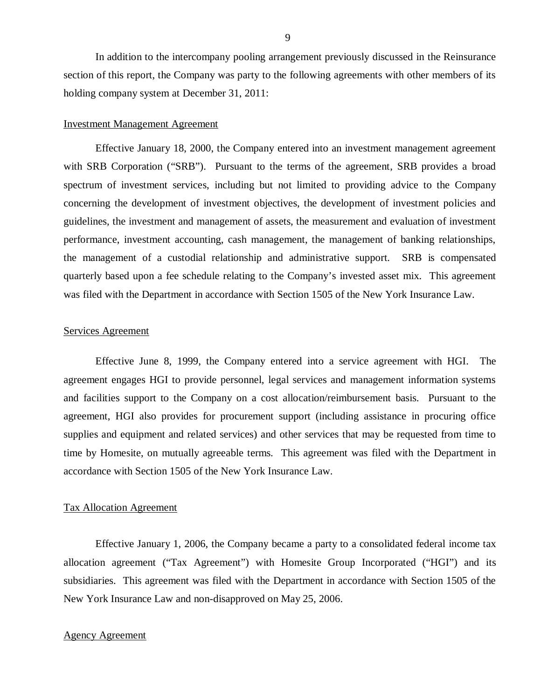In addition to the intercompany pooling arrangement previously discussed in the Reinsurance section of this report, the Company was party to the following agreements with other members of its holding company system at December 31, 2011:

#### Investment Management Agreement

Effective January 18, 2000, the Company entered into an investment management agreement with SRB Corporation ("SRB"). Pursuant to the terms of the agreement, SRB provides a broad spectrum of investment services, including but not limited to providing advice to the Company concerning the development of investment objectives, the development of investment policies and guidelines, the investment and management of assets, the measurement and evaluation of investment performance, investment accounting, cash management, the management of banking relationships, the management of a custodial relationship and administrative support. SRB is compensated quarterly based upon a fee schedule relating to the Company's invested asset mix. This agreement was filed with the Department in accordance with Section 1505 of the New York Insurance Law.

#### Services Agreement

Effective June 8, 1999, the Company entered into a service agreement with HGI. The agreement engages HGI to provide personnel, legal services and management information systems and facilities support to the Company on a cost allocation/reimbursement basis. Pursuant to the agreement, HGI also provides for procurement support (including assistance in procuring office supplies and equipment and related services) and other services that may be requested from time to time by Homesite, on mutually agreeable terms. This agreement was filed with the Department in accordance with Section 1505 of the New York Insurance Law.

#### Tax Allocation Agreement

Effective January 1, 2006, the Company became a party to a consolidated federal income tax allocation agreement ("Tax Agreement") with Homesite Group Incorporated ("HGI") and its subsidiaries. This agreement was filed with the Department in accordance with Section 1505 of the New York Insurance Law and non-disapproved on May 25, 2006.

#### Agency Agreement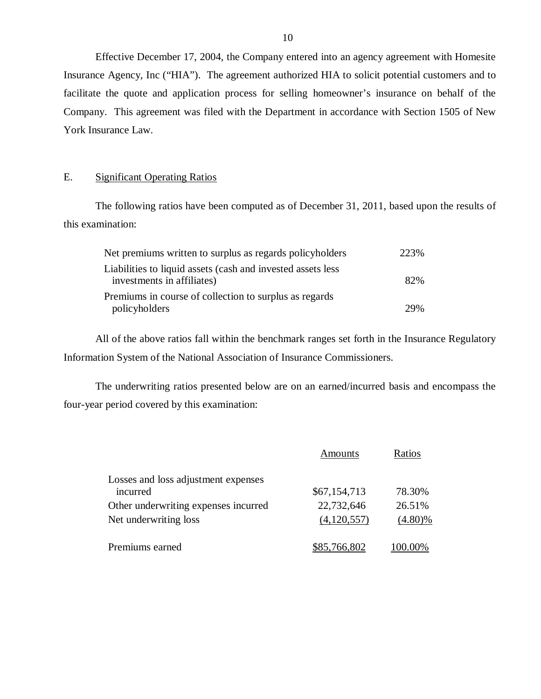Effective December 17, 2004, the Company entered into an agency agreement with Homesite Insurance Agency, Inc ("HIA"). The agreement authorized HIA to solicit potential customers and to facilitate the quote and application process for selling homeowner's insurance on behalf of the Company. This agreement was filed with the Department in accordance with Section 1505 of New York Insurance Law.

## E. Significant Operating Ratios

The following ratios have been computed as of December 31, 2011, based upon the results of this examination:

| Net premiums written to surplus as regards policyholders    | 223% |
|-------------------------------------------------------------|------|
| Liabilities to liquid assets (cash and invested assets less |      |
| investments in affiliates)                                  | 82%  |
| Premiums in course of collection to surplus as regards      |      |
| policyholders                                               | 29%  |

All of the above ratios fall within the benchmark ranges set forth in the Insurance Regulatory Information System of the National Association of Insurance Commissioners.

The underwriting ratios presented below are on an earned/incurred basis and encompass the four-year period covered by this examination:

|                                      | Amounts      | Ratios     |
|--------------------------------------|--------------|------------|
| Losses and loss adjustment expenses  |              |            |
| incurred                             | \$67,154,713 | 78.30%     |
| Other underwriting expenses incurred | 22,732,646   | 26.51%     |
| Net underwriting loss                | (4,120,557)  | $(4.80)\%$ |
| Premiums earned                      | \$85,766,802 | 00.00%     |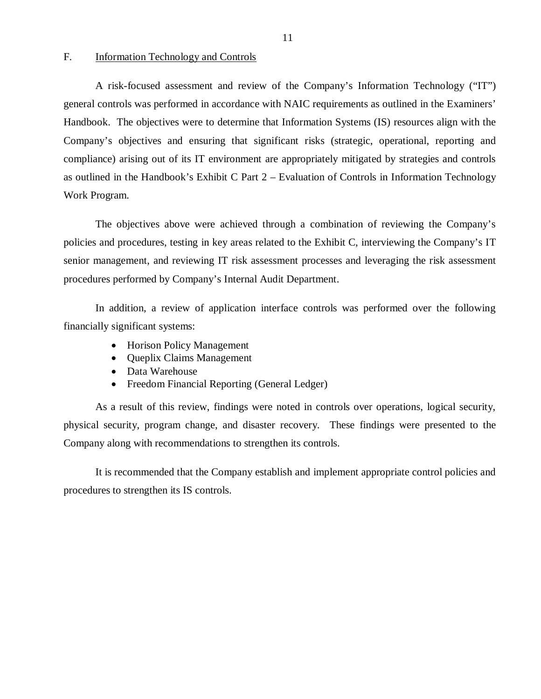#### F. Information Technology and Controls

A risk-focused assessment and review of the Company's Information Technology ("IT") general controls was performed in accordance with NAIC requirements as outlined in the Examiners' Handbook. The objectives were to determine that Information Systems (IS) resources align with the Company's objectives and ensuring that significant risks (strategic, operational, reporting and compliance) arising out of its IT environment are appropriately mitigated by strategies and controls as outlined in the Handbook's Exhibit C Part 2 – Evaluation of Controls in Information Technology Work Program.

The objectives above were achieved through a combination of reviewing the Company's policies and procedures, testing in key areas related to the Exhibit C, interviewing the Company's IT senior management, and reviewing IT risk assessment processes and leveraging the risk assessment procedures performed by Company's Internal Audit Department.

In addition, a review of application interface controls was performed over the following financially significant systems:

- Horison Policy Management
- Queplix Claims Management
- Data Warehouse
- Freedom Financial Reporting (General Ledger)

As a result of this review, findings were noted in controls over operations, logical security, physical security, program change, and disaster recovery. These findings were presented to the Company along with recommendations to strengthen its controls.

It is recommended that the Company establish and implement appropriate control policies and procedures to strengthen its IS controls.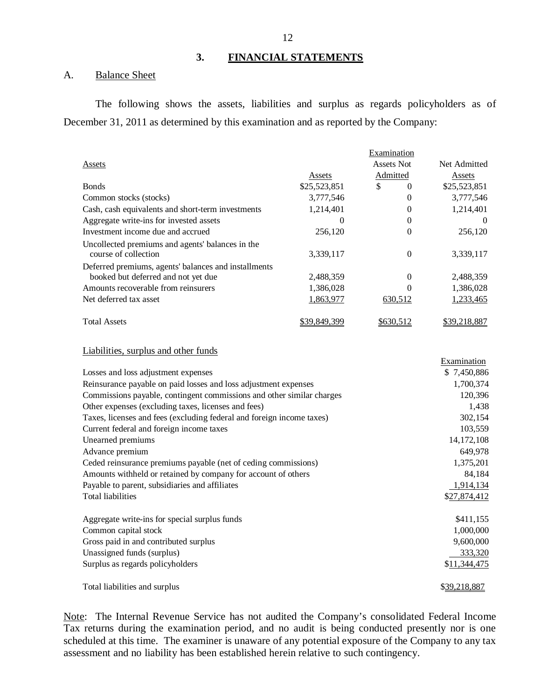## **3. FINANCIAL STATEMENTS**

#### A. Balance Sheet

The following shows the assets, liabilities and surplus as regards policyholders as of December 31, 2011 as determined by this examination and as reported by the Company:

|                                                      |              | Examination       |              |
|------------------------------------------------------|--------------|-------------------|--------------|
| Assets                                               |              | <b>Assets Not</b> | Net Admitted |
|                                                      | Assets       | Admitted          | Assets       |
| <b>B</b> onds                                        | \$25,523,851 | \$<br>$\Omega$    | \$25,523,851 |
| Common stocks (stocks)                               | 3,777,546    | 0                 | 3,777,546    |
| Cash, cash equivalents and short-term investments    | 1,214,401    | 0                 | 1,214,401    |
| Aggregate write-ins for invested assets              | $\theta$     | 0                 | $\theta$     |
| Investment income due and accrued                    | 256,120      | 0                 | 256,120      |
| Uncollected premiums and agents' balances in the     |              |                   |              |
| course of collection                                 | 3,339,117    | 0                 | 3,339,117    |
| Deferred premiums, agents' balances and installments |              |                   |              |
| booked but deferred and not yet due                  | 2,488,359    | 0                 | 2,488,359    |
| Amounts recoverable from reinsurers                  | 1,386,028    | 0                 | 1,386,028    |
| Net deferred tax asset                               | 1,863,977    | 630,512           | 1,233,465    |
| <b>Total Assets</b>                                  | \$39,849,399 | \$630,512         | \$39,218,887 |

#### Liabilities, surplus and other funds

|                                                                       | Examination      |
|-----------------------------------------------------------------------|------------------|
| Losses and loss adjustment expenses                                   | \$7,450,886      |
| Reinsurance payable on paid losses and loss adjustment expenses       | 1,700,374        |
| Commissions payable, contingent commissions and other similar charges | 120,396          |
| Other expenses (excluding taxes, licenses and fees)                   | 1,438            |
| Taxes, licenses and fees (excluding federal and foreign income taxes) | 302,154          |
| Current federal and foreign income taxes                              | 103,559          |
| Unearned premiums                                                     | 14, 172, 108     |
| Advance premium                                                       | 649,978          |
| Ceded reinsurance premiums payable (net of ceding commissions)        | 1,375,201        |
| Amounts withheld or retained by company for account of others         | 84,184           |
| Payable to parent, subsidiaries and affiliates                        | <u>1,914,134</u> |
| Total liabilities                                                     | \$27,874,412     |
| Aggregate write-ins for special surplus funds                         | \$411,155        |
| Common capital stock                                                  | 1,000,000        |
| Gross paid in and contributed surplus                                 | 9,600,000        |
| Unassigned funds (surplus)                                            | 333,320          |
| Surplus as regards policyholders                                      | \$11,344,475     |
| Total liabilities and surplus                                         | \$39,218,887     |

Note: The Internal Revenue Service has not audited the Company's consolidated Federal Income Tax returns during the examination period, and no audit is being conducted presently nor is one scheduled at this time. The examiner is unaware of any potential exposure of the Company to any tax assessment and no liability has been established herein relative to such contingency.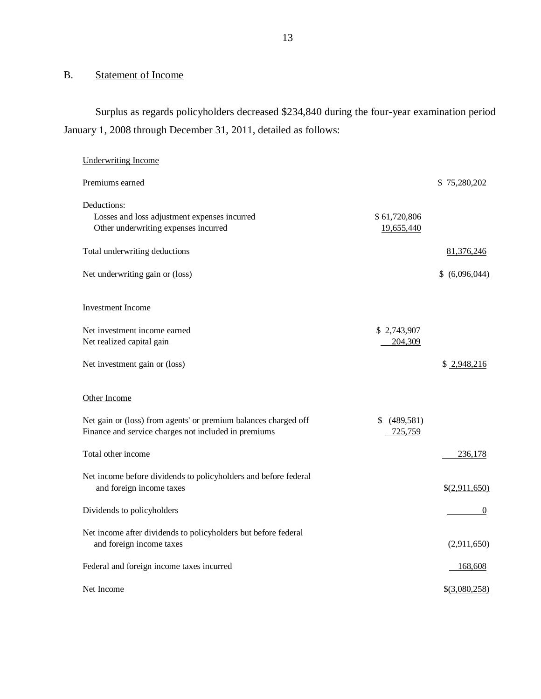## B. Statement of Income

Surplus as regards policyholders decreased \$234,840 during the four-year examination period January 1, 2008 through December 31, 2011, detailed as follows:

| <b>Underwriting Income</b>                                                                                              |                            |                 |
|-------------------------------------------------------------------------------------------------------------------------|----------------------------|-----------------|
| Premiums earned                                                                                                         |                            | \$75,280,202    |
| Deductions:<br>Losses and loss adjustment expenses incurred<br>Other underwriting expenses incurred                     | \$61,720,806<br>19,655,440 |                 |
| Total underwriting deductions                                                                                           |                            | 81,376,246      |
| Net underwriting gain or (loss)                                                                                         |                            | \$ (6,096,044)  |
| Investment Income                                                                                                       |                            |                 |
| Net investment income earned<br>Net realized capital gain                                                               | \$2,743,907<br>204,309     |                 |
| Net investment gain or (loss)                                                                                           |                            | \$2,948,216     |
| Other Income                                                                                                            |                            |                 |
| Net gain or (loss) from agents' or premium balances charged off<br>Finance and service charges not included in premiums | \$ (489,581)<br>725,759    |                 |
| Total other income                                                                                                      |                            | 236,178         |
| Net income before dividends to policyholders and before federal<br>and foreign income taxes                             |                            | \$(2,911,650)   |
| Dividends to policyholders                                                                                              |                            | $\theta$        |
| Net income after dividends to policyholders but before federal<br>and foreign income taxes                              |                            | (2,911,650)     |
| Federal and foreign income taxes incurred                                                                               |                            | 168,608         |
| Net Income                                                                                                              |                            | $$$ (3,080,258) |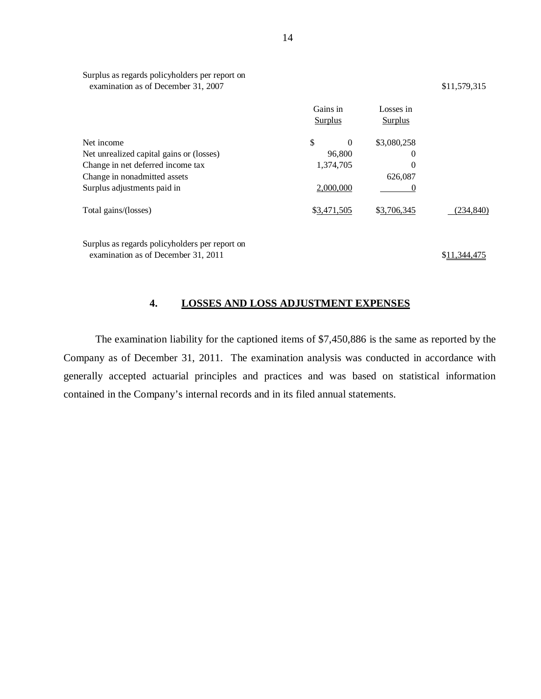|                                                | Gains in<br>Surplus | Losses in<br>Surplus |                 |
|------------------------------------------------|---------------------|----------------------|-----------------|
| Net income                                     | \$<br>$\Omega$      | \$3,080,258          |                 |
| Net unrealized capital gains or (losses)       | 96,800              | $\theta$             |                 |
| Change in net deferred income tax              | 1,374,705           | $\theta$             |                 |
| Change in nonadmitted assets                   |                     | 626,087              |                 |
| Surplus adjustments paid in                    | 2,000,000           | $\theta$             |                 |
| Total gains/(losses)                           | \$3,471,505         | \$3,706,345          | (234, 840)      |
| Surplus as regards policyholders per report on |                     |                      |                 |
| examination as of December 31, 2011            |                     |                      | .34 <u>4,41</u> |

## **4. LOSSES AND LOSS ADJUSTMENT EXPENSES**

The examination liability for the captioned items of \$7,450,886 is the same as reported by the Company as of December 31, 2011. The examination analysis was conducted in accordance with generally accepted actuarial principles and practices and was based on statistical information contained in the Company's internal records and in its filed annual statements.

Surplus as regards policyholders per report on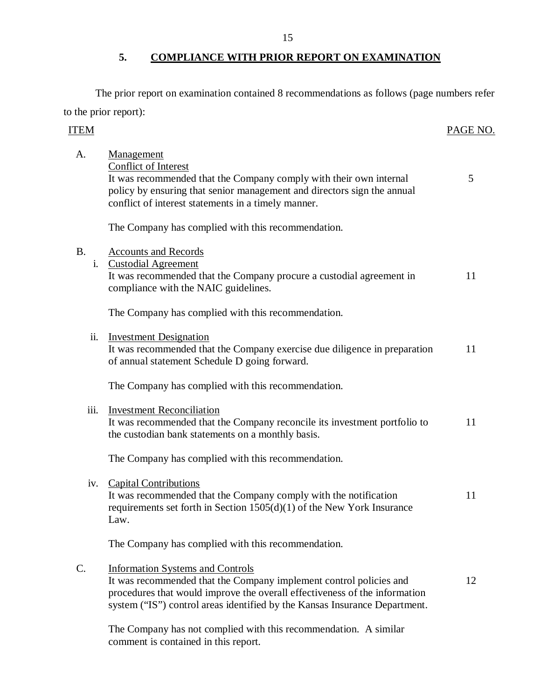## **5. COMPLIANCE WITH PRIOR REPORT ON EXAMINATION**

The prior report on examination contained 8 recommendations as follows (page numbers refer to the prior report):

| ITEM            |                                                                                                                                                                                                                                                                           | PAGE NO. |
|-----------------|---------------------------------------------------------------------------------------------------------------------------------------------------------------------------------------------------------------------------------------------------------------------------|----------|
| A.              | Management<br><b>Conflict of Interest</b><br>It was recommended that the Company comply with their own internal<br>policy by ensuring that senior management and directors sign the annual<br>conflict of interest statements in a timely manner.                         | 5        |
|                 | The Company has complied with this recommendation.                                                                                                                                                                                                                        |          |
| <b>B.</b><br>i. | <b>Accounts and Records</b><br><b>Custodial Agreement</b><br>It was recommended that the Company procure a custodial agreement in<br>compliance with the NAIC guidelines.                                                                                                 | 11       |
|                 | The Company has complied with this recommendation.                                                                                                                                                                                                                        |          |
| ii.             | <b>Investment Designation</b><br>It was recommended that the Company exercise due diligence in preparation<br>of annual statement Schedule D going forward.                                                                                                               | 11       |
|                 | The Company has complied with this recommendation.                                                                                                                                                                                                                        |          |
| iii.            | <b>Investment Reconciliation</b><br>It was recommended that the Company reconcile its investment portfolio to<br>the custodian bank statements on a monthly basis.                                                                                                        | 11       |
|                 | The Company has complied with this recommendation.                                                                                                                                                                                                                        |          |
| iv.             | <b>Capital Contributions</b><br>It was recommended that the Company comply with the notification<br>requirements set forth in Section $1505(d)(1)$ of the New York Insurance<br>Law.                                                                                      | 11       |
|                 | The Company has complied with this recommendation.                                                                                                                                                                                                                        |          |
| $\mathcal{C}$ . | <b>Information Systems and Controls</b><br>It was recommended that the Company implement control policies and<br>procedures that would improve the overall effectiveness of the information<br>system ("IS") control areas identified by the Kansas Insurance Department. | 12       |
|                 | The Company has not complied with this recommendation. A similar<br>comment is contained in this report.                                                                                                                                                                  |          |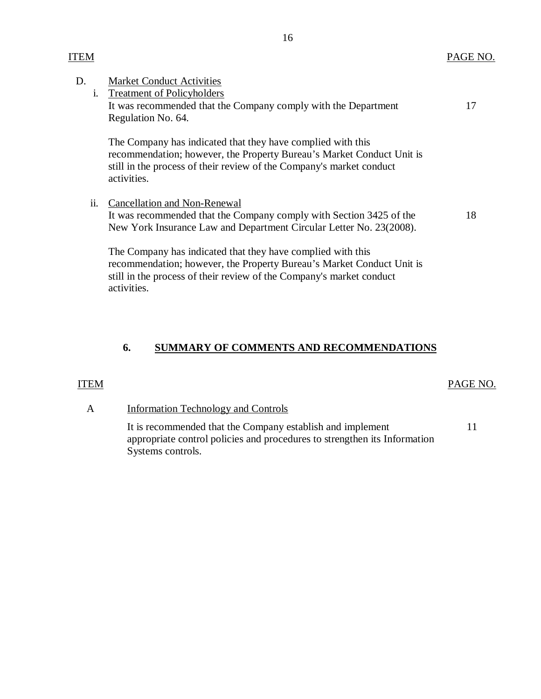| D. | 1.  | <b>Market Conduct Activities</b><br><b>Treatment of Policyholders</b><br>It was recommended that the Company comply with the Department<br>Regulation No. 64.                                                               | 17 |
|----|-----|-----------------------------------------------------------------------------------------------------------------------------------------------------------------------------------------------------------------------------|----|
|    |     | The Company has indicated that they have complied with this<br>recommendation; however, the Property Bureau's Market Conduct Unit is<br>still in the process of their review of the Company's market conduct<br>activities. |    |
|    | ii. | Cancellation and Non-Renewal<br>It was recommended that the Company comply with Section 3425 of the<br>New York Insurance Law and Department Circular Letter No. 23(2008).                                                  | 18 |
|    |     | The Company has indicated that they have complied with this<br>recommendation; however, the Property Bureau's Market Conduct Unit is<br>still in the process of their review of the Company's market conduct<br>activities. |    |

## **6. SUMMARY OF COMMENTS AND RECOMMENDATIONS**

### ITEM

## A Information Technology and Controls

It is recommended that the Company establish and implement appropriate control policies and procedures to strengthen its Information Systems controls.

ITEM

#### PAGE NO.

## PAGE NO.

11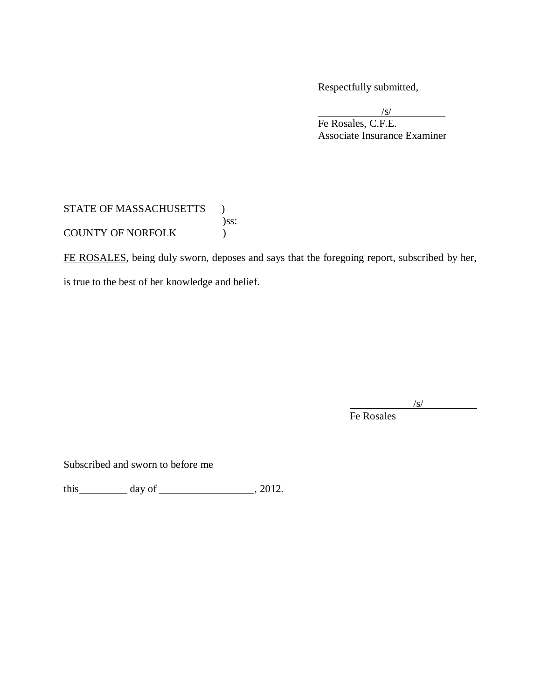Respectfully submitted,

/s/ Fe Rosales, C.F.E. Associate Insurance Examiner

## STATE OF MASSACHUSETTS  $\quad$   $)$ )ss: COUNTY OF NORFOLK (1997)

FE ROSALES, being duly sworn, deposes and says that the foregoing report, subscribed by her,

is true to the best of her knowledge and belief.

 $\sqrt{s}$ /

Fe Rosales

Subscribed and sworn to before me

this  $\_\_\_\_\_\$  day of  $\_\_\_\_\_\_\_\_\_\_\_\_\_$ , 2012.